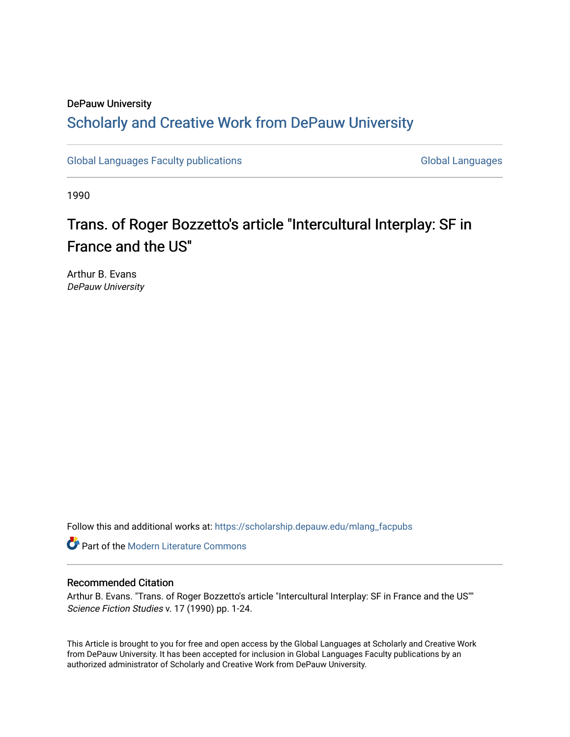## DePauw University Scholarly and [Creative Work from DePauw Univ](https://scholarship.depauw.edu/)ersity

[Global Languages Faculty publications](https://scholarship.depauw.edu/mlang_facpubs) [Global Languages](https://scholarship.depauw.edu/modernlanguages) Global Languages

1990

# Trans. of Roger Bozzetto's article "Intercultural Interplay: SF in France and the US"

Arthur B. Evans DePauw University

Follow this and additional works at: [https://scholarship.depauw.edu/mlang\\_facpubs](https://scholarship.depauw.edu/mlang_facpubs?utm_source=scholarship.depauw.edu%2Fmlang_facpubs%2F17&utm_medium=PDF&utm_campaign=PDFCoverPages)

**Part of the Modern Literature Commons** 

## Recommended Citation

Arthur B. Evans. "Trans. of Roger Bozzetto's article "Intercultural Interplay: SF in France and the US"" Science Fiction Studies v. 17 (1990) pp. 1-24.

This Article is brought to you for free and open access by the Global Languages at Scholarly and Creative Work from DePauw University. It has been accepted for inclusion in Global Languages Faculty publications by an authorized administrator of Scholarly and Creative Work from DePauw University.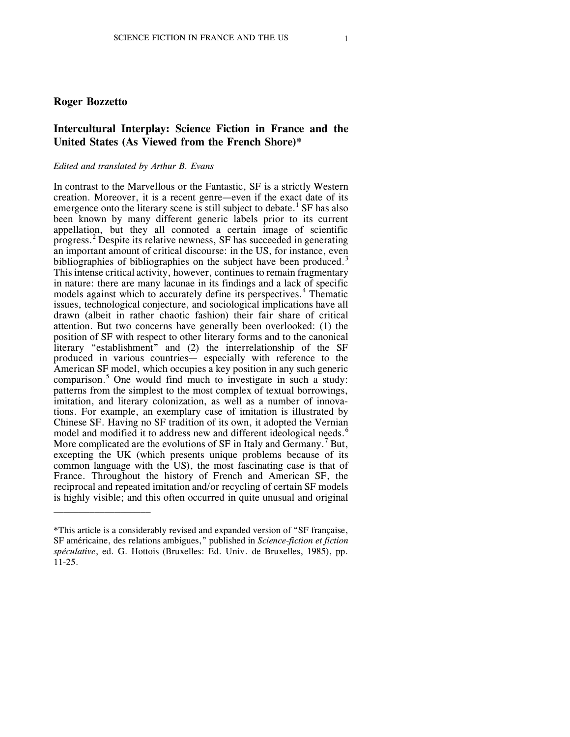## **Roger Bozzetto**

\_\_\_\_\_\_\_\_\_\_\_\_\_\_\_\_\_\_\_

## **Intercultural Interplay: Science Fiction in France and the United States (As Viewed from the French Shore)\***

#### *Edited and translated by Arthur B. Evans*

In contrast to the Marvellous or the Fantastic, SF is a strictly Western creation. Moreover, it is a recent genre—even if the exact date of its emergence onto the literary scene is still subject to debate.<sup>1</sup> SF has also been known by many different generic labels prior to its current appellation, but they all connoted a certain image of scientific progress.<sup>2</sup> Despite its relative newness, SF has succeeded in generating an important amount of critical discourse: in the US, for instance, even bibliographies of bibliographies on the subject have been produced.<sup>3</sup> This intense critical activity, however, continues to remain fragmentary in nature: there are many lacunae in its findings and a lack of specific models against which to accurately define its perspectives.<sup>4</sup> Thematic issues, technological conjecture, and sociological implications have all drawn (albeit in rather chaotic fashion) their fair share of critical attention. But two concerns have generally been overlooked: (1) the position of SF with respect to other literary forms and to the canonical literary "establishment" and (2) the interrelationship of the SF produced in various countries— especially with reference to the American SF model, which occupies a key position in any such generic comparison. <sup>5</sup> One would find much to investigate in such a study: patterns from the simplest to the most complex of textual borrowings, imitation, and literary colonization, as well as a number of innovations. For example, an exemplary case of imitation is illustrated by Chinese SF. Having no SF tradition of its own, it adopted the Vernian model and modified it to address new and different ideological needs.<sup>6</sup> More complicated are the evolutions of  $SF$  in Italy and Germany.<sup> $\prime$ </sup> But, excepting the UK (which presents unique problems because of its common language with the US), the most fascinating case is that of France. Throughout the history of French and American SF, the reciprocal and repeated imitation and/or recycling of certain SF models is highly visible; and this often occurred in quite unusual and original

<sup>\*</sup>This article is a considerably revised and expanded version of "SF française, SF américaine, des relations ambigues," published in *Science-fiction et fiction spéculative*, ed. G. Hottois (Bruxelles: Ed. Univ. de Bruxelles, 1985), pp. 11-25.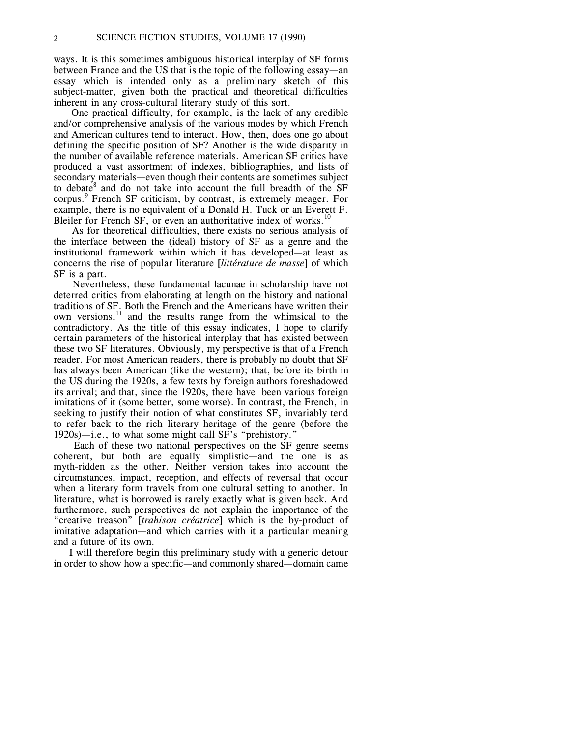ways. It is this sometimes ambiguous historical interplay of SF forms between France and the US that is the topic of the following essay—an essay which is intended only as a preliminary sketch of this subject-matter, given both the practical and theoretical difficulties inherent in any cross-cultural literary study of this sort.

One practical difficulty, for example, is the lack of any credible and/or comprehensive analysis of the various modes by which French and American cultures tend to interact. How, then, does one go about defining the specific position of SF? Another is the wide disparity in the number of available reference materials. American SF critics have produced a vast assortment of indexes, bibliographies, and lists of secondary materials—even though their contents are sometimes subject to debate<sup>8</sup> and do not take into account the full breadth of the SF corpus.<sup>9</sup> French SF criticism, by contrast, is extremely meager. For example, there is no equivalent of a Donald H. Tuck or an Everett F. Bleiler for French SF, or even an authoritative index of works.<sup>10</sup>

As for theoretical difficulties, there exists no serious analysis of the interface between the (ideal) history of SF as a genre and the institutional framework within which it has developed—at least as concerns the rise of popular literature [*littérature de masse*] of which SF is a part.

Nevertheless, these fundamental lacunae in scholarship have not deterred critics from elaborating at length on the history and national traditions of SF. Both the French and the Americans have written their own versions, $11$  and the results range from the whimsical to the contradictory. As the title of this essay indicates, I hope to clarify certain parameters of the historical interplay that has existed between these two SF literatures. Obviously, my perspective is that of a French reader. For most American readers, there is probably no doubt that SF has always been American (like the western); that, before its birth in the US during the 1920s, a few texts by foreign authors foreshadowed its arrival; and that, since the 1920s, there have been various foreign imitations of it (some better, some worse). In contrast, the French, in seeking to justify their notion of what constitutes SF, invariably tend to refer back to the rich literary heritage of the genre (before the 1920s)—i.e., to what some might call SF's "prehistory."

Each of these two national perspectives on the SF genre seems coherent, but both are equally simplistic—and the one is as myth-ridden as the other. Neither version takes into account the circumstances, impact, reception, and effects of reversal that occur when a literary form travels from one cultural setting to another. In literature, what is borrowed is rarely exactly what is given back. And furthermore, such perspectives do not explain the importance of the "creative treason" [*trahison créatrice*] which is the by-product of imitative adaptation—and which carries with it a particular meaning and a future of its own.

I will therefore begin this preliminary study with a generic detour in order to show how a specific—and commonly shared—domain came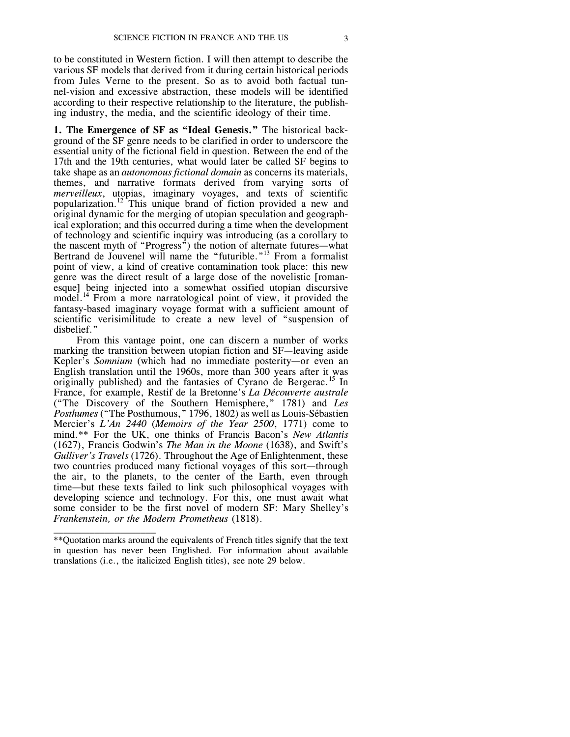to be constituted in Western fiction. I will then attempt to describe the various SF models that derived from it during certain historical periods from Jules Verne to the present. So as to avoid both factual tunnel-vision and excessive abstraction, these models will be identified according to their respective relationship to the literature, the publishing industry, the media, and the scientific ideology of their time.

**1. The Emergence of SF as "Ideal Genesis."** The historical background of the SF genre needs to be clarified in order to underscore the essential unity of the fictional field in question. Between the end of the 17th and the 19th centuries, what would later be called SF begins to take shape as an *autonomous fictional domain* as concerns its materials, themes, and narrative formats derived from varying sorts of *merveilleux*, utopias, imaginary voyages, and texts of scientific popularization.<sup>12</sup> This unique brand of fiction provided a new and original dynamic for the merging of utopian speculation and geographical exploration; and this occurred during a time when the development of technology and scientific inquiry was introducing (as a corollary to the nascent myth of "Progress") the notion of alternate futures—what Bertrand de Jouvenel will name the "futurible."<sup>13</sup> From a formalist point of view, a kind of creative contamination took place: this new genre was the direct result of a large dose of the novelistic [romanesque] being injected into a somewhat ossified utopian discursive model. <sup>14</sup> From a more narratological point of view, it provided the fantasy-based imaginary voyage format with a sufficient amount of scientific verisimilitude to create a new level of "suspension of disbelief.'

From this vantage point, one can discern a number of works marking the transition between utopian fiction and SF—leaving aside Kepler's *Somnium* (which had no immediate posterity—or even an English translation until the 1960s, more than 300 years after it was originally published) and the fantasies of Cyrano de Bergerac.<sup>15</sup> In France, for example, Restif de la Bretonne's *La Découverte australe* ("The Discovery of the Southern Hemisphere," 1781) and *Les Posthumes* ("The Posthumous," 1796, 1802) as well as Louis-Sébastien Mercier's *L'An 2440* (*Memoirs of the Year 2500*, 1771) come to mind.\*\* For the UK, one thinks of Francis Bacon's *New Atlantis* (1627), Francis Godwin's *The Man in the Moone* (1638), and Swift's *Gulliver's Travels* (1726). Throughout the Age of Enlightenment, these two countries produced many fictional voyages of this sort—through the air, to the planets, to the center of the Earth, even through time—but these texts failed to link such philosophical voyages with developing science and technology. For this, one must await what some consider to be the first novel of modern SF: Mary Shelley's *Frankenstein, or the Modern Prometheus* (1818).

\_\_\_\_\_\_\_\_\_\_\_\_\_\_\_\_\_\_\_\_

<sup>\*\*</sup>Quotation marks around the equivalents of French titles signify that the text in question has never been Englished. For information about available translations (i.e., the italicized English titles), see note 29 below.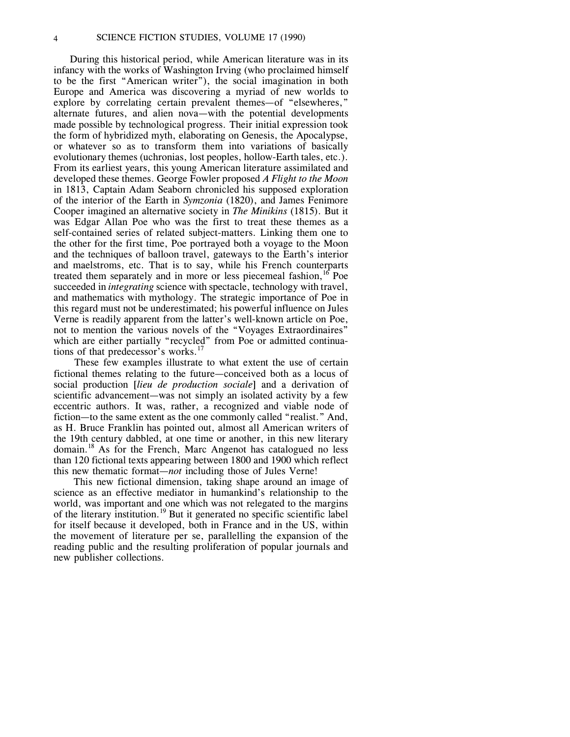During this historical period, while American literature was in its infancy with the works of Washington Irving (who proclaimed himself to be the first "American writer"), the social imagination in both Europe and America was discovering a myriad of new worlds to explore by correlating certain prevalent themes—of "elsewheres," alternate futures, and alien nova—with the potential developments made possible by technological progress. Their initial expression took the form of hybridized myth, elaborating on Genesis, the Apocalypse, or whatever so as to transform them into variations of basically evolutionary themes (uchronias, lost peoples, hollow-Earth tales, etc.). From its earliest years, this young American literature assimilated and developed these themes. George Fowler proposed *A Flight to the Moon* in 1813, Captain Adam Seaborn chronicled his supposed exploration of the interior of the Earth in *Symzonia* (1820), and James Fenimore Cooper imagined an alternative society in *The Minikins* (1815). But it was Edgar Allan Poe who was the first to treat these themes as a self-contained series of related subject-matters. Linking them one to the other for the first time, Poe portrayed both a voyage to the Moon and the techniques of balloon travel, gateways to the Earth's interior and maelstroms, etc. That is to say, while his French counterparts treated them separately and in more or less piecemeal fashion,<sup>16</sup> Poe succeeded in *integrating* science with spectacle, technology with travel, and mathematics with mythology. The strategic importance of Poe in this regard must not be underestimated; his powerful influence on Jules Verne is readily apparent from the latter's well-known article on Poe, not to mention the various novels of the "Voyages Extraordinaires" which are either partially "recycled" from Poe or admitted continuations of that predecessor's works. $^{17}$ 

These few examples illustrate to what extent the use of certain fictional themes relating to the future—conceived both as a locus of social production [*lieu de production sociale*] and a derivation of scientific advancement—was not simply an isolated activity by a few eccentric authors. It was, rather, a recognized and viable node of fiction—to the same extent as the one commonly called "realist." And, as H. Bruce Franklin has pointed out, almost all American writers of the 19th century dabbled, at one time or another, in this new literary domain.<sup>18</sup> As for the French, Marc Angenot has catalogued no less than 120 fictional texts appearing between 1800 and 1900 which reflect this new thematic format—*not* including those of Jules Verne!

This new fictional dimension, taking shape around an image of science as an effective mediator in humankind's relationship to the world, was important and one which was not relegated to the margins of the literary institution.<sup>19</sup> But it generated no specific scientific label for itself because it developed, both in France and in the US, within the movement of literature per se, parallelling the expansion of the reading public and the resulting proliferation of popular journals and new publisher collections.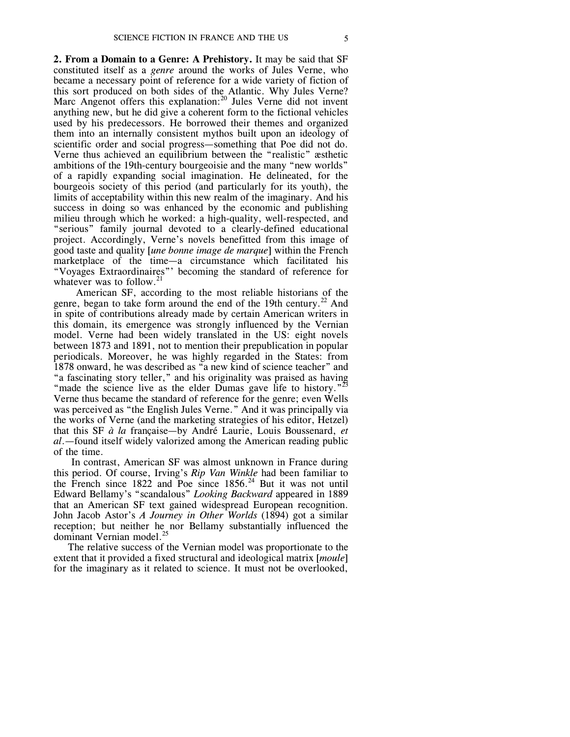**2. From a Domain to a Genre: A Prehistory.** It may be said that SF constituted itself as a *genre* around the works of Jules Verne, who became a necessary point of reference for a wide variety of fiction of this sort produced on both sides of the Atlantic. Why Jules Verne? Marc Angenot offers this explanation:<sup>20</sup> Jules Verne did not invent anything new, but he did give a coherent form to the fictional vehicles used by his predecessors. He borrowed their themes and organized them into an internally consistent mythos built upon an ideology of scientific order and social progress—something that Poe did not do. Verne thus achieved an equilibrium between the "realistic" æsthetic ambitions of the 19th-century bourgeoisie and the many "new worlds" of a rapidly expanding social imagination. He delineated, for the bourgeois society of this period (and particularly for its youth), the limits of acceptability within this new realm of the imaginary. And his success in doing so was enhanced by the economic and publishing milieu through which he worked: a high-quality, well-respected, and "serious" family journal devoted to a clearly-defined educational project. Accordingly, Verne's novels benefitted from this image of good taste and quality [*une bonne image de marque*] within the French marketplace of the time—a circumstance which facilitated his "Voyages Extraordinaires"' becoming the standard of reference for whatever was to follow.<sup>21</sup>

American SF, according to the most reliable historians of the genre, began to take form around the end of the 19th century.<sup>22</sup> And in spite of contributions already made by certain American writers in this domain, its emergence was strongly influenced by the Vernian model. Verne had been widely translated in the US: eight novels between 1873 and 1891, not to mention their prepublication in popular periodicals. Moreover, he was highly regarded in the States: from 1878 onward, he was described as "a new kind of science teacher" and "a fascinating story teller," and his originality was praised as having "made the science live as the elder Dumas gave life to history."<sup>23</sup> Verne thus became the standard of reference for the genre; even Wells was perceived as "the English Jules Verne." And it was principally via the works of Verne (and the marketing strategies of his editor, Hetzel) that this SF *à la* française—by André Laurie, Louis Boussenard, *et al*.—found itself widely valorized among the American reading public of the time.

In contrast, American SF was almost unknown in France during this period. Of course, Irving's *Rip Van Winkle* had been familiar to the French since  $1822$  and Poe since  $1856<sup>24</sup>$  But it was not until Edward Bellamy's "scandalous" *Looking Backward* appeared in 1889 that an American SF text gained widespread European recognition. John Jacob Astor's *A Journey in Other Worlds* (1894) got a similar reception; but neither he nor Bellamy substantially influenced the<br>dominant Varnian modal <sup>25</sup> dominant Vernian model.

The relative success of the Vernian model was proportionate to the extent that it provided a fixed structural and ideological matrix [*moule*] for the imaginary as it related to science. It must not be overlooked,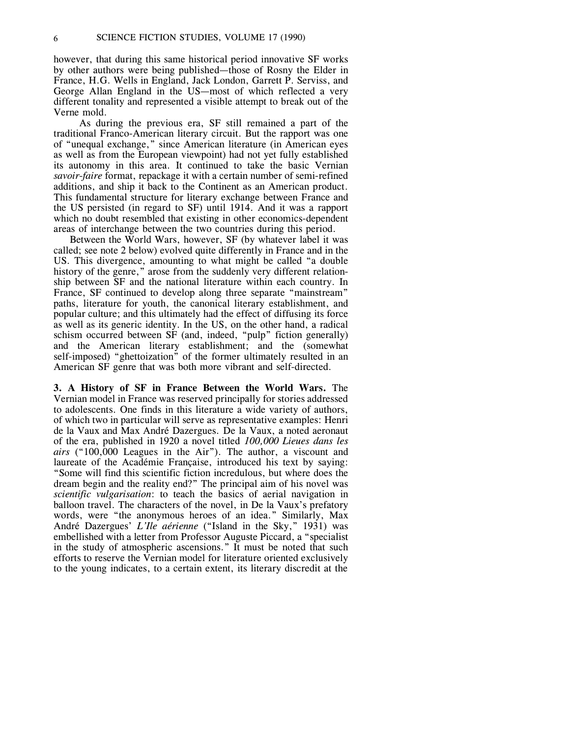however, that during this same historical period innovative SF works by other authors were being published—those of Rosny the Elder in France, H.G. Wells in England, Jack London, Garrett P. Serviss, and George Allan England in the US—most of which reflected a very different tonality and represented a visible attempt to break out of the Verne mold.

As during the previous era, SF still remained a part of the traditional Franco-American literary circuit. But the rapport was one of "unequal exchange," since American literature (in American eyes as well as from the European viewpoint) had not yet fully established its autonomy in this area. It continued to take the basic Vernian *savoir-faire* format, repackage it with a certain number of semi-refined additions, and ship it back to the Continent as an American product. This fundamental structure for literary exchange between France and the US persisted (in regard to SF) until 1914. And it was a rapport which no doubt resembled that existing in other economics-dependent areas of interchange between the two countries during this period.

Between the World Wars, however, SF (by whatever label it was called; see note 2 below) evolved quite differently in France and in the US. This divergence, amounting to what might be called "a double history of the genre," arose from the suddenly very different relationship between SF and the national literature within each country. In France, SF continued to develop along three separate "mainstream" paths, literature for youth, the canonical literary establishment, and popular culture; and this ultimately had the effect of diffusing its force as well as its generic identity. In the US, on the other hand, a radical schism occurred between SF (and, indeed, "pulp" fiction generally) and the American literary establishment; and the (somewhat self-imposed) "ghettoization" of the former ultimately resulted in an American SF genre that was both more vibrant and self-directed.

**3. A History of SF in France Between the World Wars.** The Vernian model in France was reserved principally for stories addressed to adolescents. One finds in this literature a wide variety of authors, of which two in particular will serve as representative examples: Henri de la Vaux and Max André Dazergues. De la Vaux, a noted aeronaut of the era, published in 1920 a novel titled *100,000 Lieues dans les airs* ("100,000 Leagues in the Air"). The author, a viscount and laureate of the Académie Française, introduced his text by saying: "Some will find this scientific fiction incredulous, but where does the dream begin and the reality end?" The principal aim of his novel was *scientific vulgarisation*: to teach the basics of aerial navigation in balloon travel. The characters of the novel, in De la Vaux's prefatory words, were "the anonymous heroes of an idea." Similarly, Max André Dazergues' *L'Ile aérienne* ("Island in the Sky," 1931) was embellished with a letter from Professor Auguste Piccard, a "specialist in the study of atmospheric ascensions." It must be noted that such efforts to reserve the Vernian model for literature oriented exclusively to the young indicates, to a certain extent, its literary discredit at the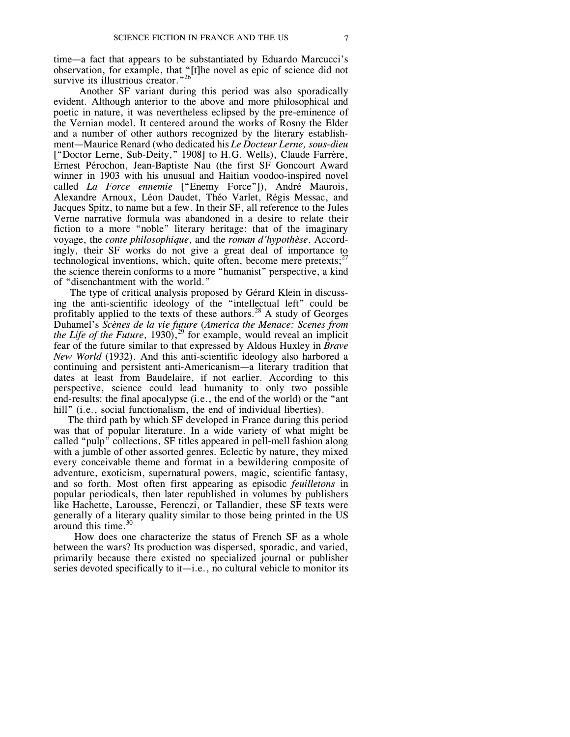time—a fact that appears to be substantiated by Eduardo Marcucci's observation, for example, that "[t]he novel as epic of science did not survive its illustrious creator."<sup>26</sup>

Another SF variant during this period was also sporadically evident. Although anterior to the above and more philosophical and poetic in nature, it was nevertheless eclipsed by the pre-eminence of the Vernian model. It centered around the works of Rosny the Elder and a number of other authors recognized by the literary establishment—Maurice Renard (who dedicated his *Le Docteur Lerne, sous-dieu* ["Doctor Lerne, Sub-Deity," 1908] to H.G. Wells), Claude Farrère, Ernest Pérochon, Jean-Baptiste Nau (the first SF Goncourt Award winner in 1903 with his unusual and Haitian voodoo-inspired novel called *La Force ennemie* ["Enemy Force"]), André Maurois, Alexandre Arnoux, Léon Daudet, Théo Varlet, Régis Messac, and Jacques Spitz, to name but a few. In their SF, all reference to the Jules Verne narrative formula was abandoned in a desire to relate their fiction to a more "noble" literary heritage: that of the imaginary voyage, the *conte philosophique*, and the *roman d'hypothèse*. Accordingly, their SF works do not give a great deal of importance to technological inventions, which, quite often, become mere pretexts; $^{27}$ the science therein conforms to a more "humanist" perspective, a kind of "disenchantment with the world."

The type of critical analysis proposed by Gérard Klein in discussing the anti-scientific ideology of the "intellectual left" could be profitably applied to the texts of these authors.<sup>28</sup> A study of Georges Duhamel's *Scènes de la vie future* (*America the Menace: Scenes from the Life of the Future*, 1930), 29 for example, would reveal an implicit fear of the future similar to that expressed by Aldous Huxley in *Brave New World* (1932). And this anti-scientific ideology also harbored a continuing and persistent anti-Americanism—a literary tradition that dates at least from Baudelaire, if not earlier. According to this perspective, science could lead humanity to only two possible end-results: the final apocalypse (i.e., the end of the world) or the "ant hill" (i.e., social functionalism, the end of individual liberties).

The third path by which SF developed in France during this period was that of popular literature. In a wide variety of what might be called "pulp" collections, SF titles appeared in pell-mell fashion along with a jumble of other assorted genres. Eclectic by nature, they mixed every conceivable theme and format in a bewildering composite of adventure, exoticism, supernatural powers, magic, scientific fantasy, and so forth. Most often first appearing as episodic *feuilletons* in popular periodicals, then later republished in volumes by publishers like Hachette, Larousse, Ferenczi, or Tallandier, these SF texts were generally of a literary quality similar to those being printed in the US around this time.<sup>30</sup>

How does one characterize the status of French SF as a whole between the wars? Its production was dispersed, sporadic, and varied, primarily because there existed no specialized journal or publisher series devoted specifically to it—i.e., no cultural vehicle to monitor its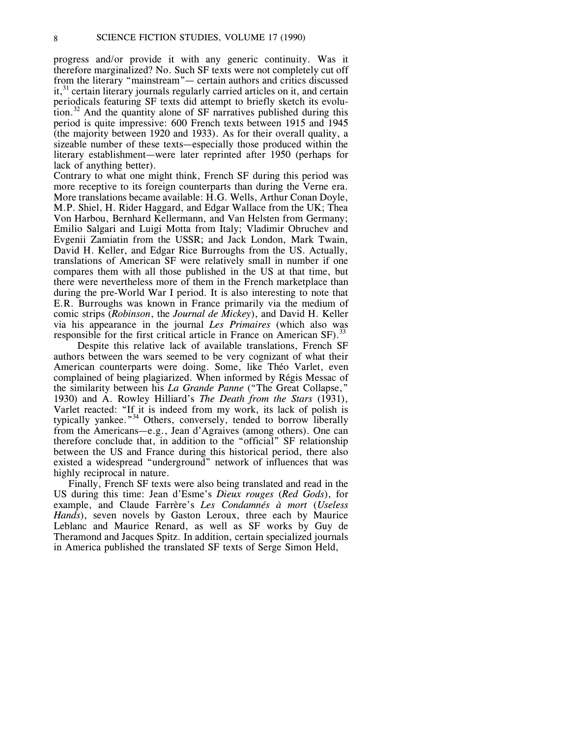progress and/or provide it with any generic continuity. Was it therefore marginalized? No. Such SF texts were not completely cut off from the literary "mainstream"— certain authors and critics discussed it,<sup>31</sup> certain literary journals regularly carried articles on it, and certain periodicals featuring SF texts did attempt to briefly sketch its evolution.<sup>32</sup> And the quantity alone of SF narratives published during this period is quite impressive: 600 French texts between 1915 and 1945 (the majority between 1920 and 1933). As for their overall quality, a sizeable number of these texts—especially those produced within the literary establishment—were later reprinted after 1950 (perhaps for lack of anything better).

Contrary to what one might think, French SF during this period was more receptive to its foreign counterparts than during the Verne era. More translations became available: H.G. Wells, Arthur Conan Doyle, M.P. Shiel, H. Rider Haggard, and Edgar Wallace from the UK; Thea Von Harbou, Bernhard Kellermann, and Van Helsten from Germany; Emilio Salgari and Luigi Motta from Italy; Vladimir Obruchev and Evgenii Zamiatin from the USSR; and Jack London, Mark Twain, David H. Keller, and Edgar Rice Burroughs from the US. Actually, translations of American SF were relatively small in number if one compares them with all those published in the US at that time, but there were nevertheless more of them in the French marketplace than during the pre-World War I period. It is also interesting to note that E.R. Burroughs was known in France primarily via the medium of comic strips (*Robinson*, the *Journal de Mickey*), and David H. Keller via his appearance in the journal *Les Primaires* (which also was responsible for the first critical article in France on American SF).<sup>33</sup>

Despite this relative lack of available translations, French SF authors between the wars seemed to be very cognizant of what their American counterparts were doing. Some, like Théo Varlet, even complained of being plagiarized. When informed by Régis Messac of the similarity between his *La Grande Panne* ("The Great Collapse," 1930) and A. Rowley Hilliard's *The Death from the Stars* (1931), Varlet reacted: "If it is indeed from my work, its lack of polish is typically yankee."<sup>34</sup> Others, conversely, tended to borrow liberally from the Americans—e.g., Jean d'Agraives (among others). One can therefore conclude that, in addition to the "official" SF relationship between the US and France during this historical period, there also existed a widespread "underground" network of influences that was highly reciprocal in nature.

Finally, French SF texts were also being translated and read in the US during this time: Jean d'Esme's *Dieux rouges* (*Red Gods*), for example, and Claude Farrère's *Les Condamnés à mort* (*Useless Hands*), seven novels by Gaston Leroux, three each by Maurice Leblanc and Maurice Renard, as well as SF works by Guy de Theramond and Jacques Spitz. In addition, certain specialized journals in America published the translated SF texts of Serge Simon Held,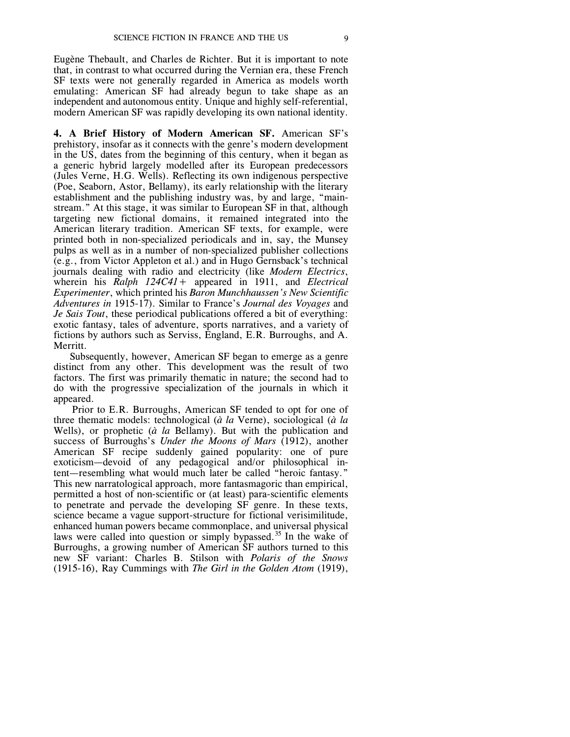Eugène Thebault, and Charles de Richter. But it is important to note that, in contrast to what occurred during the Vernian era, these French SF texts were not generally regarded in America as models worth emulating: American SF had already begun to take shape as an independent and autonomous entity. Unique and highly self-referential, modern American SF was rapidly developing its own national identity.

**4. A Brief History of Modern American SF.** American SF's prehistory, insofar as it connects with the genre's modern development in the US, dates from the beginning of this century, when it began as a generic hybrid largely modelled after its European predecessors (Jules Verne, H.G. Wells). Reflecting its own indigenous perspective (Poe, Seaborn, Astor, Bellamy), its early relationship with the literary establishment and the publishing industry was, by and large, "mainstream." At this stage, it was similar to European SF in that, although targeting new fictional domains, it remained integrated into the American literary tradition. American SF texts, for example, were printed both in non-specialized periodicals and in, say, the Munsey pulps as well as in a number of non-specialized publisher collections (e.g., from Victor Appleton et al.) and in Hugo Gernsback's technical journals dealing with radio and electricity (like *Modern Electrics*, wherein his *Ralph 124C41+* appeared in 1911, and *Electrical Experimenter*, which printed his *Baron Munchhaussen's New Scientific Adventures in* 1915-17). Similar to France's *Journal des Voyages* and *Je Sais Tout*, these periodical publications offered a bit of everything: exotic fantasy, tales of adventure, sports narratives, and a variety of fictions by authors such as Serviss, England, E.R. Burroughs, and A. Merritt.

Subsequently, however, American SF began to emerge as a genre distinct from any other. This development was the result of two factors. The first was primarily thematic in nature; the second had to do with the progressive specialization of the journals in which it appeared.

Prior to E.R. Burroughs, American SF tended to opt for one of three thematic models: technological (*à la* Verne), sociological (*à la* Wells), or prophetic (*à la* Bellamy). But with the publication and success of Burroughs's *Under the Moons of Mars* (1912), another American SF recipe suddenly gained popularity: one of pure exoticism—devoid of any pedagogical and/or philosophical intent—resembling what would much later be called "heroic fantasy." This new narratological approach, more fantasmagoric than empirical, permitted a host of non-scientific or (at least) para-scientific elements to penetrate and pervade the developing SF genre. In these texts, science became a vague support-structure for fictional verisimilitude, enhanced human powers became commonplace, and universal physical laws were called into question or simply bypassed.<sup>35</sup> In the wake of Burroughs, a growing number of American SF authors turned to this new SF variant: Charles B. Stilson with *Polaris of the Snows* (1915-16), Ray Cummings with *The Girl in the Golden Atom* (1919),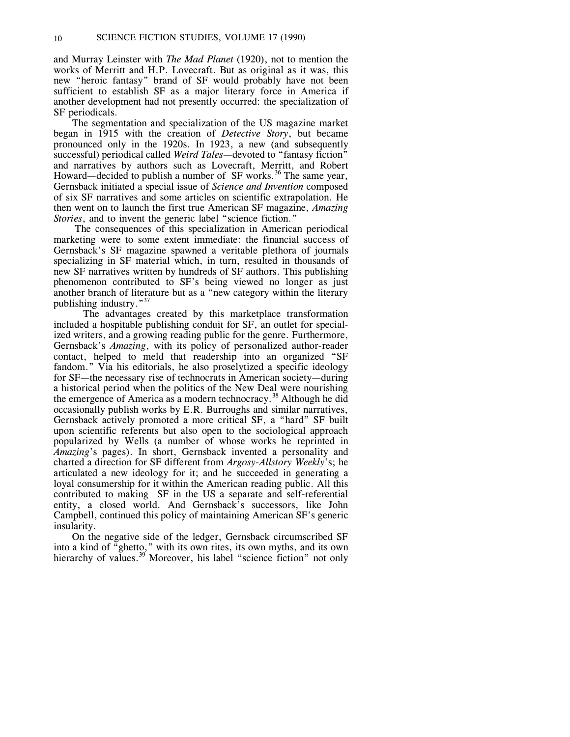and Murray Leinster with *The Mad Planet* (1920), not to mention the works of Merritt and H.P. Lovecraft. But as original as it was, this new "heroic fantasy" brand of SF would probably have not been sufficient to establish SF as a major literary force in America if another development had not presently occurred: the specialization of SF periodicals.

The segmentation and specialization of the US magazine market began in 1915 with the creation of *Detective Story*, but became pronounced only in the 1920s. In 1923, a new (and subsequently successful) periodical called *Weird Tales*—devoted to "fantasy fiction" and narratives by authors such as Lovecraft, Merritt, and Robert Howard—decided to publish a number of  $SF$  works.<sup>36</sup> The same year, Gernsback initiated a special issue of *Science and Invention* composed of six SF narratives and some articles on scientific extrapolation. He then went on to launch the first true American SF magazine, *Amazing Stories*, and to invent the generic label "science fiction."

The consequences of this specialization in American periodical marketing were to some extent immediate: the financial success of Gernsback's SF magazine spawned a veritable plethora of journals specializing in SF material which, in turn, resulted in thousands of new SF narratives written by hundreds of SF authors. This publishing phenomenon contributed to SF's being viewed no longer as just another branch of literature but as a "new category within the literary publishing industry."<sup>37</sup>

The advantages created by this marketplace transformation included a hospitable publishing conduit for SF, an outlet for specialized writers, and a growing reading public for the genre. Furthermore, Gernsback's *Amazing*, with its policy of personalized author-reader contact, helped to meld that readership into an organized "SF fandom." Via his editorials, he also proselytized a specific ideology for SF—the necessary rise of technocrats in American society—during a historical period when the politics of the New Deal were nourishing the emergence of America as a modern technocracy.<sup>38</sup> Although he did occasionally publish works by E.R. Burroughs and similar narratives, Gernsback actively promoted a more critical SF, a "hard" SF built upon scientific referents but also open to the sociological approach popularized by Wells (a number of whose works he reprinted in *Amazing*'s pages). In short, Gernsback invented a personality and charted a direction for SF different from *Argosy-Allstory Weekly*'s; he articulated a new ideology for it; and he succeeded in generating a loyal consumership for it within the American reading public. All this contributed to making SF in the US a separate and self-referential entity, a closed world. And Gernsback's successors, like John Campbell, continued this policy of maintaining American SF's generic insularity.

On the negative side of the ledger, Gernsback circumscribed SF into a kind of "ghetto," with its own rites, its own myths, and its own hierarchy of values.<sup>39</sup> Moreover, his label "science fiction" not only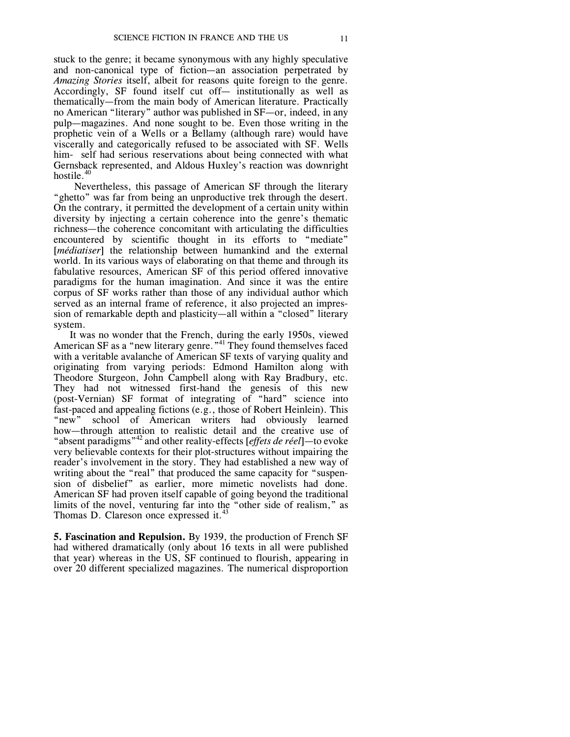stuck to the genre; it became synonymous with any highly speculative and non-canonical type of fiction—an association perpetrated by *Amazing Stories* itself, albeit for reasons quite foreign to the genre. Accordingly, SF found itself cut off— institutionally as well as thematically—from the main body of American literature. Practically no American "literary" author was published in SF—or, indeed, in any pulp—magazines. And none sought to be. Even those writing in the prophetic vein of a Wells or a Bellamy (although rare) would have viscerally and categorically refused to be associated with SF. Wells him- self had serious reservations about being connected with what Gernsback represented, and Aldous Huxley's reaction was downright hostile.<sup>40</sup>

Nevertheless, this passage of American SF through the literary "ghetto" was far from being an unproductive trek through the desert. On the contrary, it permitted the development of a certain unity within diversity by injecting a certain coherence into the genre's thematic richness—the coherence concomitant with articulating the difficulties encountered by scientific thought in its efforts to "mediate" [*médiatiser*] the relationship between humankind and the external world. In its various ways of elaborating on that theme and through its fabulative resources, American SF of this period offered innovative paradigms for the human imagination. And since it was the entire corpus of SF works rather than those of any individual author which served as an internal frame of reference, it also projected an impression of remarkable depth and plasticity—all within a "closed" literary system.

It was no wonder that the French, during the early 1950s, viewed American SF as a "new literary genre."<sup>41</sup> They found themselves faced with a veritable avalanche of American SF texts of varying quality and originating from varying periods: Edmond Hamilton along with Theodore Sturgeon, John Campbell along with Ray Bradbury, etc. They had not witnessed first-hand the genesis of this new (post-Vernian) SF format of integrating of "hard" science into fast-paced and appealing fictions (e.g., those of Robert Heinlein). This "new" school of American writers had obviously learned school of American writers had obviously learned how—through attention to realistic detail and the creative use of "absent paradigms"<sup>42</sup> and other reality-effects [*effets de réel*]—to evoke very believable contexts for their plot-structures without impairing the reader's involvement in the story. They had established a new way of writing about the "real" that produced the same capacity for "suspension of disbelief" as earlier, more mimetic novelists had done. American SF had proven itself capable of going beyond the traditional limits of the novel, venturing far into the "other side of realism," as Thomas D. Clareson once expressed it.<sup>43</sup>

**5. Fascination and Repulsion.** By 1939, the production of French SF had withered dramatically (only about 16 texts in all were published that year) whereas in the US, SF continued to flourish, appearing in over 20 different specialized magazines. The numerical disproportion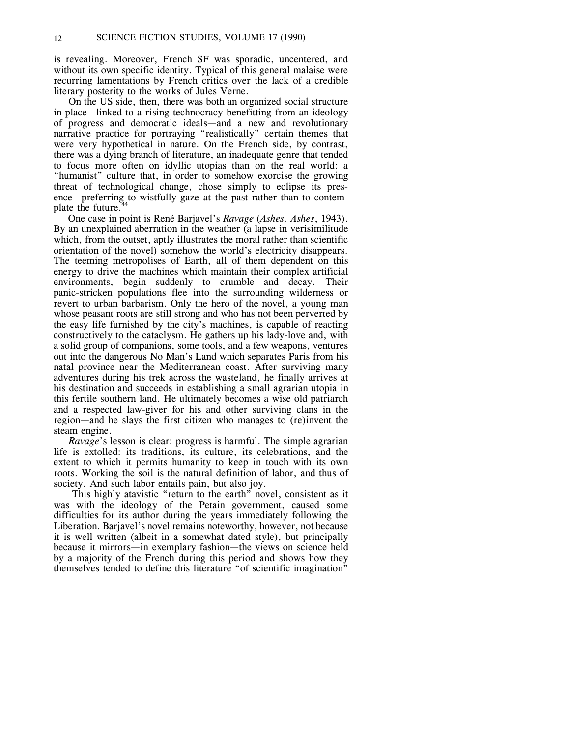is revealing. Moreover, French SF was sporadic, uncentered, and without its own specific identity. Typical of this general malaise were recurring lamentations by French critics over the lack of a credible literary posterity to the works of Jules Verne.

On the US side, then, there was both an organized social structure in place—linked to a rising technocracy benefitting from an ideology of progress and democratic ideals—and a new and revolutionary narrative practice for portraying "realistically" certain themes that were very hypothetical in nature. On the French side, by contrast, there was a dying branch of literature, an inadequate genre that tended to focus more often on idyllic utopias than on the real world: a "humanist" culture that, in order to somehow exorcise the growing threat of technological change, chose simply to eclipse its presence—preferring to wistfully gaze at the past rather than to contemplate the future.<sup>4</sup>

One case in point is René Barjavel's *Ravage* (*Ashes, Ashes*, 1943). By an unexplained aberration in the weather (a lapse in verisimilitude which, from the outset, aptly illustrates the moral rather than scientific orientation of the novel) somehow the world's electricity disappears. The teeming metropolises of Earth, all of them dependent on this energy to drive the machines which maintain their complex artificial environments, begin suddenly to crumble and decay. Their panic-stricken populations flee into the surrounding wilderness or revert to urban barbarism. Only the hero of the novel, a young man whose peasant roots are still strong and who has not been perverted by the easy life furnished by the city's machines, is capable of reacting constructively to the cataclysm. He gathers up his lady-love and, with a solid group of companions, some tools, and a few weapons, ventures out into the dangerous No Man's Land which separates Paris from his natal province near the Mediterranean coast. After surviving many adventures during his trek across the wasteland, he finally arrives at his destination and succeeds in establishing a small agrarian utopia in this fertile southern land. He ultimately becomes a wise old patriarch and a respected law-giver for his and other surviving clans in the region—and he slays the first citizen who manages to (re)invent the steam engine.

*Ravage*'s lesson is clear: progress is harmful. The simple agrarian life is extolled: its traditions, its culture, its celebrations, and the extent to which it permits humanity to keep in touch with its own roots. Working the soil is the natural definition of labor, and thus of society. And such labor entails pain, but also joy.

This highly atavistic "return to the earth" novel, consistent as it was with the ideology of the Petain government, caused some difficulties for its author during the years immediately following the Liberation. Barjavel's novel remains noteworthy, however, not because it is well written (albeit in a somewhat dated style), but principally because it mirrors—in exemplary fashion—the views on science held by a majority of the French during this period and shows how they themselves tended to define this literature "of scientific imagination"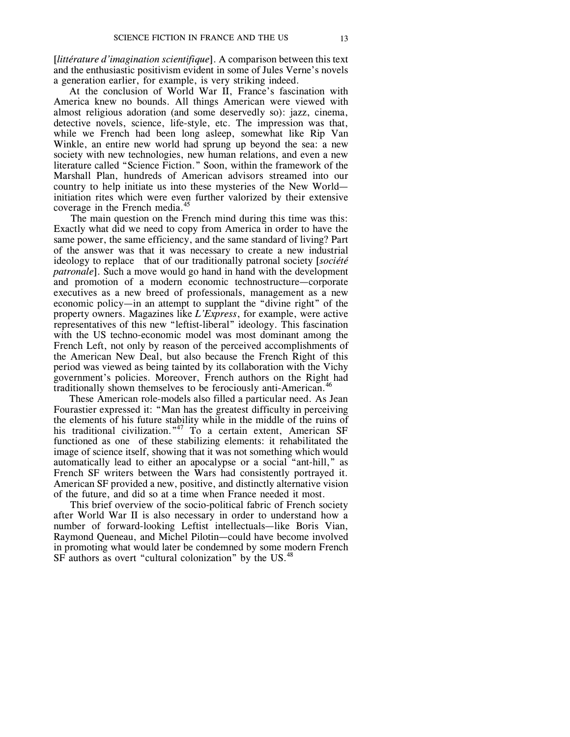[*littérature d'imagination scientifique*]. A comparison between this text and the enthusiastic positivism evident in some of Jules Verne's novels a generation earlier, for example, is very striking indeed.

At the conclusion of World War II, France's fascination with America knew no bounds. All things American were viewed with almost religious adoration (and some deservedly so): jazz, cinema, detective novels, science, life-style, etc. The impression was that, while we French had been long asleep, somewhat like Rip Van Winkle, an entire new world had sprung up beyond the sea: a new society with new technologies, new human relations, and even a new literature called "Science Fiction." Soon, within the framework of the Marshall Plan, hundreds of American advisors streamed into our country to help initiate us into these mysteries of the New World initiation rites which were even further valorized by their extensive coverage in the French media.<sup>45</sup>

The main question on the French mind during this time was this: Exactly what did we need to copy from America in order to have the same power, the same efficiency, and the same standard of living? Part of the answer was that it was necessary to create a new industrial ideology to replace that of our traditionally patronal society [*société patronale*]. Such a move would go hand in hand with the development and promotion of a modern economic technostructure—corporate executives as a new breed of professionals, management as a new economic policy—in an attempt to supplant the "divine right" of the property owners. Magazines like *L'Express*, for example, were active representatives of this new "leftist-liberal" ideology. This fascination with the US techno-economic model was most dominant among the French Left, not only by reason of the perceived accomplishments of the American New Deal, but also because the French Right of this period was viewed as being tainted by its collaboration with the Vichy government's policies. Moreover, French authors on the Right had traditionally shown themselves to be ferociously anti-American.<sup>46</sup>

These American role-models also filled a particular need. As Jean Fourastier expressed it: "Man has the greatest difficulty in perceiving the elements of his future stability while in the middle of the ruins of his traditional civilization."<sup>47</sup> To a certain extent, American SF functioned as one of these stabilizing elements: it rehabilitated the image of science itself, showing that it was not something which would automatically lead to either an apocalypse or a social "ant-hill," as French SF writers between the Wars had consistently portrayed it. American SF provided a new, positive, and distinctly alternative vision of the future, and did so at a time when France needed it most.

This brief overview of the socio-political fabric of French society after World War II is also necessary in order to understand how a number of forward-looking Leftist intellectuals—like Boris Vian, Raymond Queneau, and Michel Pilotin—could have become involved in promoting what would later be condemned by some modern French SF authors as overt "cultural colonization" by the US.<sup>48</sup>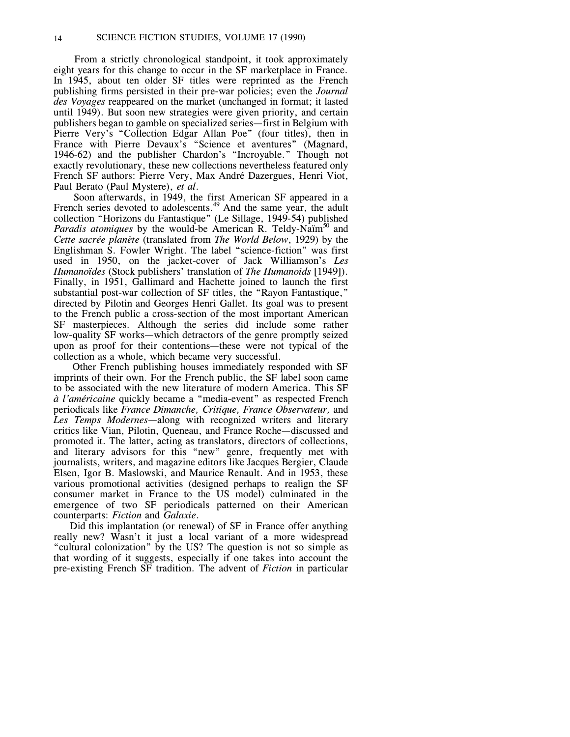From a strictly chronological standpoint, it took approximately eight years for this change to occur in the SF marketplace in France. In 1945, about ten older SF titles were reprinted as the French publishing firms persisted in their pre-war policies; even the *Journal des Voyages* reappeared on the market (unchanged in format; it lasted until 1949). But soon new strategies were given priority, and certain publishers began to gamble on specialized series—first in Belgium with Pierre Very's "Collection Edgar Allan Poe" (four titles), then in France with Pierre Devaux's "Science et aventures" (Magnard, 1946-62) and the publisher Chardon's "Incroyable." Though not exactly revolutionary, these new collections nevertheless featured only French SF authors: Pierre Very, Max André Dazergues, Henri Viot, Paul Berato (Paul Mystere), *et al*.

Soon afterwards, in 1949, the first American SF appeared in a French series devoted to adolescents.<sup>49</sup> And the same year, the adult collection "Horizons du Fantastique" (Le Sillage, 1949-54) published Paradis atomiques by the would-be American R. Teldy-Naïm<sup>50</sup> and *Cette sacrée planète* (translated from *The World Below*, 1929) by the Englishman S. Fowler Wright. The label "science-fiction" was first used in 1950, on the jacket-cover of Jack Williamson's *Les Humanoïdes* (Stock publishers' translation of *The Humanoids* [1949]). Finally, in 1951, Gallimard and Hachette joined to launch the first substantial post-war collection of SF titles, the "Rayon Fantastique," directed by Pilotin and Georges Henri Gallet. Its goal was to present to the French public a cross-section of the most important American SF masterpieces. Although the series did include some rather low-quality SF works—which detractors of the genre promptly seized upon as proof for their contentions—these were not typical of the collection as a whole, which became very successful.

Other French publishing houses immediately responded with SF imprints of their own. For the French public, the SF label soon came to be associated with the new literature of modern America. This SF *à l'américaine* quickly became a "media-event" as respected French periodicals like *France Dimanche, Critique, France Observateur,* and *Les Temps Modernes*—along with recognized writers and literary critics like Vian, Pilotin, Queneau, and France Roche—discussed and promoted it. The latter, acting as translators, directors of collections, and literary advisors for this "new" genre, frequently met with journalists, writers, and magazine editors like Jacques Bergier, Claude Elsen, Igor B. Maslowski, and Maurice Renault. And in 1953, these various promotional activities (designed perhaps to realign the SF consumer market in France to the US model) culminated in the emergence of two SF periodicals patterned on their American counterparts: *Fiction* and *Galaxie*.

Did this implantation (or renewal) of SF in France offer anything really new? Wasn't it just a local variant of a more widespread "cultural colonization" by the US? The question is not so simple as that wording of it suggests, especially if one takes into account the pre-existing French SF tradition. The advent of *Fiction* in particular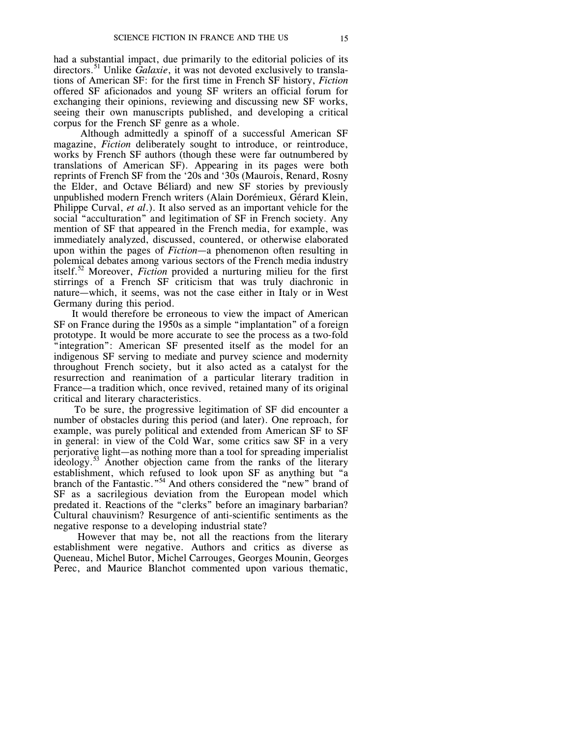had a substantial impact, due primarily to the editorial policies of its directors.<sup>51</sup> Unlike *Galaxie*, it was not devoted exclusively to translations of American SF: for the first time in French SF history, *Fiction* offered SF aficionados and young SF writers an official forum for exchanging their opinions, reviewing and discussing new SF works, seeing their own manuscripts published, and developing a critical corpus for the French SF genre as a whole.

Although admittedly a spinoff of a successful American SF magazine, *Fiction* deliberately sought to introduce, or reintroduce, works by French SF authors (though these were far outnumbered by translations of American SF). Appearing in its pages were both reprints of French SF from the '20s and '30s (Maurois, Renard, Rosny the Elder, and Octave Béliard) and new SF stories by previously unpublished modern French writers (Alain Dorémieux, Gérard Klein, Philippe Curval, *et al*.). It also served as an important vehicle for the social "acculturation" and legitimation of SF in French society. Any mention of SF that appeared in the French media, for example, was immediately analyzed, discussed, countered, or otherwise elaborated upon within the pages of *Fiction*—a phenomenon often resulting in polemical debates among various sectors of the French media industry itself. <sup>52</sup> Moreover, *Fiction* provided a nurturing milieu for the first stirrings of a French SF criticism that was truly diachronic in nature—which, it seems, was not the case either in Italy or in West Germany during this period.

It would therefore be erroneous to view the impact of American SF on France during the 1950s as a simple "implantation" of a foreign prototype. It would be more accurate to see the process as a two-fold "integration": American SF presented itself as the model for an indigenous SF serving to mediate and purvey science and modernity throughout French society, but it also acted as a catalyst for the resurrection and reanimation of a particular literary tradition in France—a tradition which, once revived, retained many of its original critical and literary characteristics.

To be sure, the progressive legitimation of SF did encounter a number of obstacles during this period (and later). One reproach, for example, was purely political and extended from American SF to SF in general: in view of the Cold War, some critics saw SF in a very perjorative light—as nothing more than a tool for spreading imperialist ideology.<sup>53</sup> Another objection came from the ranks of the literary establishment, which refused to look upon SF as anything but "a branch of the Fantastic."<sup>54</sup> And others considered the "new" brand of SF as a sacrilegious deviation from the European model which predated it. Reactions of the "clerks" before an imaginary barbarian? Cultural chauvinism? Resurgence of anti-scientific sentiments as the negative response to a developing industrial state?

However that may be, not all the reactions from the literary establishment were negative. Authors and critics as diverse as Queneau, Michel Butor, Michel Carrouges, Georges Mounin, Georges Perec, and Maurice Blanchot commented upon various thematic,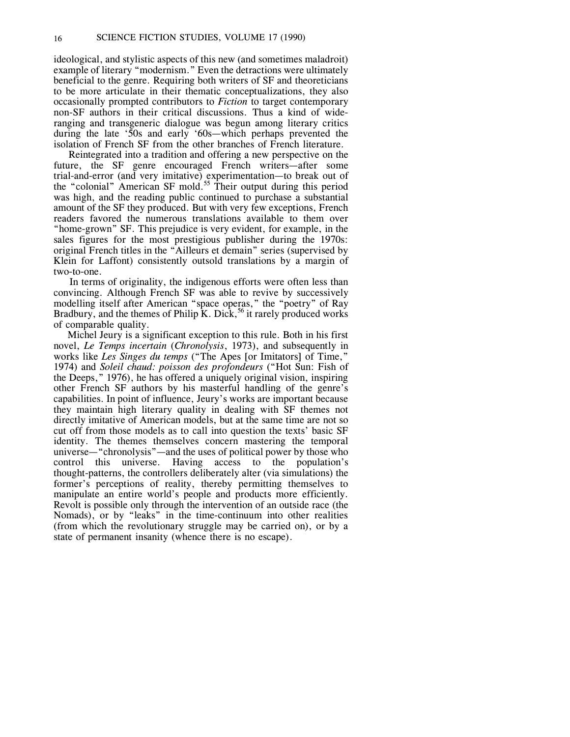ideological, and stylistic aspects of this new (and sometimes maladroit) example of literary "modernism." Even the detractions were ultimately beneficial to the genre. Requiring both writers of SF and theoreticians to be more articulate in their thematic conceptualizations, they also occasionally prompted contributors to *Fiction* to target contemporary non-SF authors in their critical discussions. Thus a kind of wideranging and transgeneric dialogue was begun among literary critics during the late '50s and early '60s—which perhaps prevented the isolation of French SF from the other branches of French literature.

Reintegrated into a tradition and offering a new perspective on the future, the SF genre encouraged French writers—after some trial-and-error (and very imitative) experimentation—to break out of the "colonial" American SF mold.<sup>55</sup> Their output during this period was high, and the reading public continued to purchase a substantial amount of the SF they produced. But with very few exceptions, French readers favored the numerous translations available to them over "home-grown" SF. This prejudice is very evident, for example, in the sales figures for the most prestigious publisher during the 1970s: original French titles in the "Ailleurs et demain" series (supervised by Klein for Laffont) consistently outsold translations by a margin of two-to-one.

In terms of originality, the indigenous efforts were often less than convincing. Although French SF was able to revive by successively modelling itself after American "space operas," the "poetry" of Ray Bradbury, and the themes of Philip K. Dick,<sup>56</sup> it rarely produced works of comparable quality.

Michel Jeury is a significant exception to this rule. Both in his first novel, *Le Temps incertain* (*Chronolysis*, 1973), and subsequently in works like *Les Singes du temps* ("The Apes [or Imitators] of Time," 1974) and *Soleil chaud: poisson des profondeurs* ("Hot Sun: Fish of the Deeps," 1976), he has offered a uniquely original vision, inspiring other French SF authors by his masterful handling of the genre's capabilities. In point of influence, Jeury's works are important because they maintain high literary quality in dealing with SF themes not directly imitative of American models, but at the same time are not so cut off from those models as to call into question the texts' basic SF identity. The themes themselves concern mastering the temporal universe—"chronolysis"—and the uses of political power by those who control this universe. Having access to the population's thought-patterns, the controllers deliberately alter (via simulations) the former's perceptions of reality, thereby permitting themselves to manipulate an entire world's people and products more efficiently. Revolt is possible only through the intervention of an outside race (the Nomads), or by "leaks" in the time-continuum into other realities (from which the revolutionary struggle may be carried on), or by a state of permanent insanity (whence there is no escape).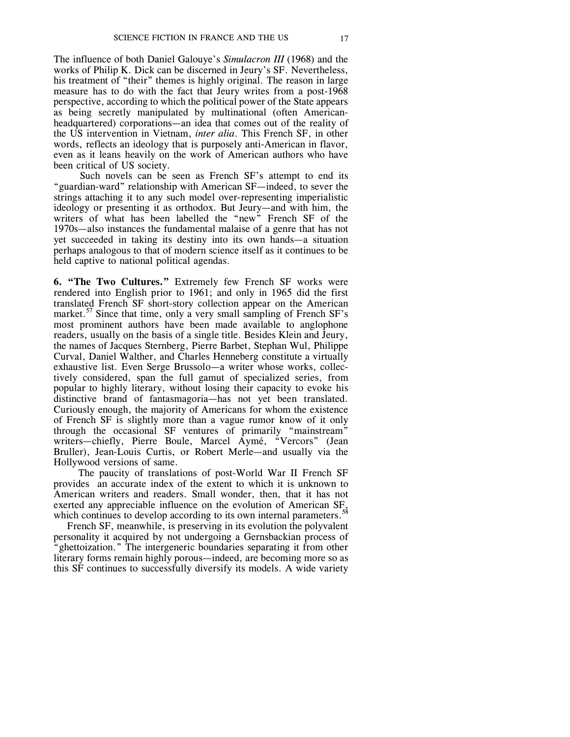The influence of both Daniel Galouye's *Simulacron III* (1968) and the works of Philip K. Dick can be discerned in Jeury's SF. Nevertheless, his treatment of "their" themes is highly original. The reason in large measure has to do with the fact that Jeury writes from a post-1968 perspective, according to which the political power of the State appears as being secretly manipulated by multinational (often Americanheadquartered) corporations—an idea that comes out of the reality of the US intervention in Vietnam, *inter alia*. This French SF, in other words, reflects an ideology that is purposely anti-American in flavor, even as it leans heavily on the work of American authors who have been critical of US society.

Such novels can be seen as French SF's attempt to end its "guardian-ward" relationship with American SF—indeed, to sever the strings attaching it to any such model over-representing imperialistic ideology or presenting it as orthodox. But Jeury—and with him, the writers of what has been labelled the "new" French SF of the 1970s—also instances the fundamental malaise of a genre that has not yet succeeded in taking its destiny into its own hands—a situation perhaps analogous to that of modern science itself as it continues to be held captive to national political agendas.

**6. "The Two Cultures."** Extremely few French SF works were rendered into English prior to 1961; and only in 1965 did the first translated French SF short-story collection appear on the American market.<sup>57</sup> Since that time, only a very small sampling of French SF's most prominent authors have been made available to anglophone readers, usually on the basis of a single title. Besides Klein and Jeury, the names of Jacques Sternberg, Pierre Barbet, Stephan Wul, Philippe Curval, Daniel Walther, and Charles Henneberg constitute a virtually exhaustive list. Even Serge Brussolo—a writer whose works, collectively considered, span the full gamut of specialized series, from popular to highly literary, without losing their capacity to evoke his distinctive brand of fantasmagoria—has not yet been translated. Curiously enough, the majority of Americans for whom the existence of French SF is slightly more than a vague rumor know of it only through the occasional SF ventures of primarily "mainstream" writers—chiefly, Pierre Boule, Marcel Aymé, "Vercors" (Jean Bruller), Jean-Louis Curtis, or Robert Merle—and usually via the Hollywood versions of same.

The paucity of translations of post-World War II French SF provides an accurate index of the extent to which it is unknown to American writers and readers. Small wonder, then, that it has not exerted any appreciable influence on the evolution of American SF, which continues to develop according to its own internal parameters.<sup>58</sup>

French SF, meanwhile, is preserving in its evolution the polyvalent personality it acquired by not undergoing a Gernsbackian process of "ghettoization." The intergeneric boundaries separating it from other literary forms remain highly porous—indeed, are becoming more so as this SF continues to successfully diversify its models. A wide variety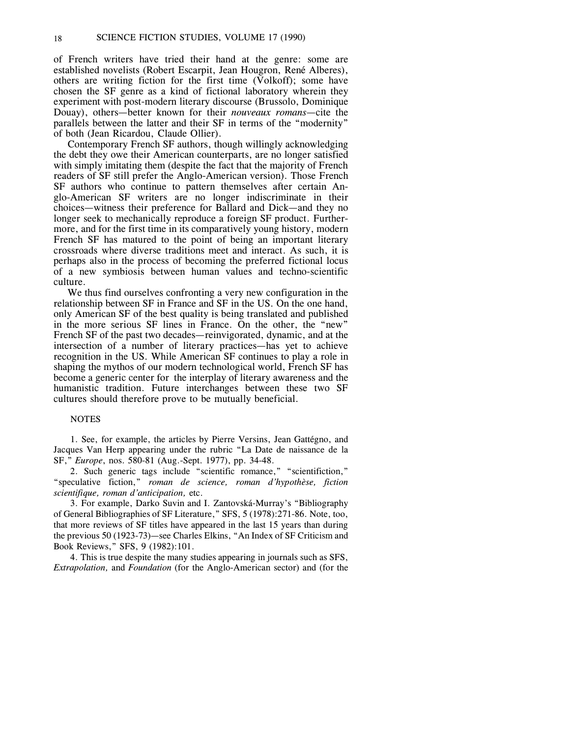of French writers have tried their hand at the genre: some are established novelists (Robert Escarpit, Jean Hougron, René Alberes), others are writing fiction for the first time (Volkoff); some have chosen the SF genre as a kind of fictional laboratory wherein they experiment with post-modern literary discourse (Brussolo, Dominique Douay), others—better known for their *nouveaux romans*—cite the parallels between the latter and their SF in terms of the "modernity" of both (Jean Ricardou, Claude Ollier).

Contemporary French SF authors, though willingly acknowledging the debt they owe their American counterparts, are no longer satisfied with simply imitating them (despite the fact that the majority of French readers of SF still prefer the Anglo-American version). Those French SF authors who continue to pattern themselves after certain Anglo-American SF writers are no longer indiscriminate in their choices—witness their preference for Ballard and Dick—and they no longer seek to mechanically reproduce a foreign SF product. Furthermore, and for the first time in its comparatively young history, modern French SF has matured to the point of being an important literary crossroads where diverse traditions meet and interact. As such, it is perhaps also in the process of becoming the preferred fictional locus of a new symbiosis between human values and techno-scientific culture.

We thus find ourselves confronting a very new configuration in the relationship between SF in France and SF in the US. On the one hand, only American SF of the best quality is being translated and published in the more serious SF lines in France. On the other, the "new" French SF of the past two decades—reinvigorated, dynamic, and at the intersection of a number of literary practices—has yet to achieve recognition in the US. While American SF continues to play a role in shaping the mythos of our modern technological world, French SF has become a generic center for the interplay of literary awareness and the humanistic tradition. Future interchanges between these two SF cultures should therefore prove to be mutually beneficial.

#### **NOTES**

1. See, for example, the articles by Pierre Versins, Jean Gattégno, and Jacques Van Herp appearing under the rubric "La Date de naissance de la SF," *Europe*, nos. 580-81 (Aug.-Sept. 1977), pp. 34-48.

2. Such generic tags include "scientific romance," "scientifiction," "speculative fiction," *roman de science, roman d'hypothèse, fiction scientifique, roman d'anticipation,* etc.

3. For example, Darko Suvin and I. Zantovská-Murray's "Bibliography of General Bibliographies of SF Literature," SFS, 5 (1978):271-86. Note, too, that more reviews of SF titles have appeared in the last 15 years than during the previous 50 (1923-73)—see Charles Elkins, "An Index of SF Criticism and Book Reviews," SFS, 9 (1982):101.

4. This is true despite the many studies appearing in journals such as SFS, *Extrapolation,* and *Foundation* (for the Anglo-American sector) and (for the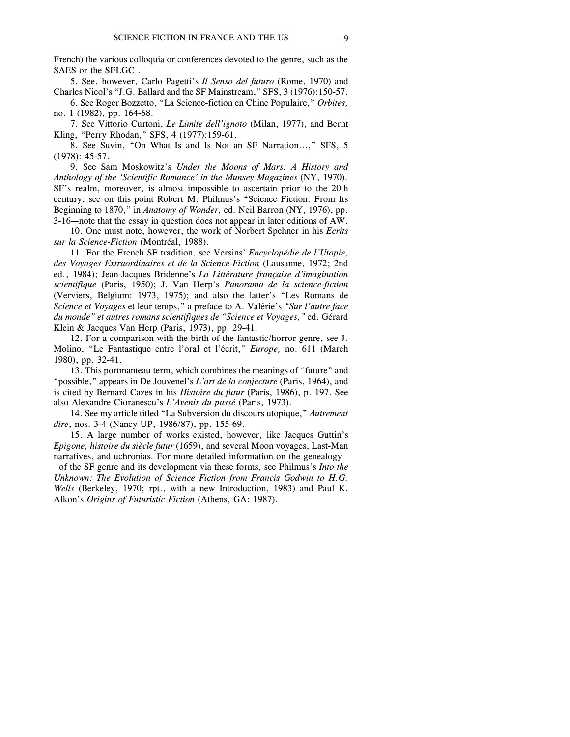French) the various colloquia or conferences devoted to the genre, such as the SAES or the SFLGC .

5. See, however, Carlo Pagetti's *Il Senso del futuro* (Rome, 1970) and Charles Nicol's "J.G. Ballard and the SF Mainstream," SFS, 3 (1976):150-57.

6. See Roger Bozzetto, "La Science-fiction en Chine Populaire," *Orbites,* no. 1 (1982), pp. 164-68.

7. See Vittorio Curtoni, *Le Limite dell'ignoto* (Milan, 1977), and Bernt Kling, "Perry Rhodan," SFS, 4 (1977):159-61.

8. See Suvin, "On What Is and Is Not an SF Narration...," SFS, 5 (1978): 45-57.

9. See Sam Moskowitz's *Under the Moons of Mars: A History and Anthology of the 'Scientific Romance' in the Munsey Magazines* (NY, 1970). SF's realm, moreover, is almost impossible to ascertain prior to the 20th century; see on this point Robert M. Philmus's "Science Fiction: From Its Beginning to 1870," in *Anatomy of Wonder,* ed. Neil Barron (NY, 1976), pp. 3-16—note that the essay in question does not appear in later editions of AW.

10. One must note, however, the work of Norbert Spehner in his *Ecrits sur la Science-Fiction* (Montréal, 1988).

11. For the French SF tradition, see Versins' *Encyclopédie de l'Utopie, des Voyages Extraordinaires et de la Science-Fiction* (Lausanne, 1972; 2nd ed., 1984); Jean-Jacques Bridenne's *La Littérature française d'imagination scientifique* (Paris, 1950); J. Van Herp's *Panorama de la science-fiction* (Verviers, Belgium: 1973, 1975); and also the latter's "Les Romans de *Science et Voyages* et leur temps," a preface to A. Valérie's *"Sur l'autre face du monde" et autres romans scientifiques de "Science et Voyages,"* ed. Gérard Klein & Jacques Van Herp (Paris, 1973), pp. 29-41.

12. For a comparison with the birth of the fantastic/horror genre, see J. Molino, "Le Fantastique entre l'oral et l'écrit," *Europe,* no. 611 (March 1980), pp. 32-41.

13. This portmanteau term, which combines the meanings of "future" and "possible," appears in De Jouvenel's *L'art de la conjecture* (Paris, 1964), and is cited by Bernard Cazes in his *Histoire du futur* (Paris, 1986), p. 197. See also Alexandre Cioranescu's *L'Avenir du passé* (Paris, 1973).

14. See my article titled "La Subversion du discours utopique," *Autrement dire*, nos. 3-4 (Nancy UP, 1986/87), pp. 155-69.

15. A large number of works existed, however, like Jacques Guttin's *Epigone, histoire du siècle futur* (1659), and several Moon voyages, Last-Man narratives, and uchronias. For more detailed information on the genealogy

of the SF genre and its development via these forms, see Philmus's *Into the Unknown: The Evolution of Science Fiction from Francis Godwin to H.G. Wells* (Berkeley, 1970; rpt., with a new Introduction, 1983) and Paul K. Alkon's *Origins of Futuristic Fiction* (Athens, GA: 1987).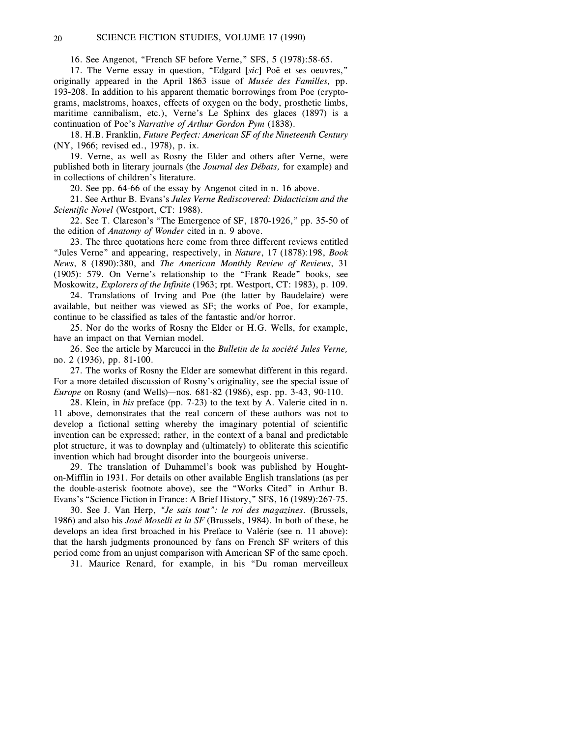### 20 SCIENCE FICTION STUDIES, VOLUME 17 (1990)

16. See Angenot, "French SF before Verne," SFS, 5 (1978):58-65.

17. The Verne essay in question, "Edgard [*sic*] Poë et ses oeuvres," originally appeared in the April 1863 issue of *Musée des Familles,* pp. 193-208. In addition to his apparent thematic borrowings from Poe (cryptograms, maelstroms, hoaxes, effects of oxygen on the body, prosthetic limbs, maritime cannibalism, etc.), Verne's Le Sphinx des glaces (1897) is a continuation of Poe's *Narrative of Arthur Gordon Pym* (1838).

18. H.B. Franklin, *Future Perfect: American SF of the Nineteenth Century* (NY, 1966; revised ed., 1978), p. ix.

19. Verne, as well as Rosny the Elder and others after Verne, were published both in literary journals (the *Journal des Débats,* for example) and in collections of children's literature.

20. See pp. 64-66 of the essay by Angenot cited in n. 16 above.

21. See Arthur B. Evans's *Jules Verne Rediscovered: Didacticism and the Scientific Novel* (Westport, CT: 1988).

22. See T. Clareson's "The Emergence of SF, 1870-1926," pp. 35-50 of the edition of *Anatomy of Wonder* cited in n. 9 above.

23. The three quotations here come from three different reviews entitled "Jules Verne" and appearing, respectively, in *Nature*, 17 (1878):198, *Book News*, 8 (1890):380, and *The American Monthly Review of Reviews*, 31 (1905): 579. On Verne's relationship to the "Frank Reade" books, see Moskowitz, *Explorers of the Infinite* (1963; rpt. Westport, CT: 1983), p. 109.

24. Translations of Irving and Poe (the latter by Baudelaire) were available, but neither was viewed as SF; the works of Poe, for example, continue to be classified as tales of the fantastic and/or horror.

25. Nor do the works of Rosny the Elder or H.G. Wells, for example, have an impact on that Vernian model.

26. See the article by Marcucci in the *Bulletin de la société Jules Verne,* no. 2 (1936), pp. 81-100.

27. The works of Rosny the Elder are somewhat different in this regard. For a more detailed discussion of Rosny's originality, see the special issue of *Europe* on Rosny (and Wells)—nos. 681-82 (1986), esp. pp. 3-43, 90-110.

28. Klein, in *his* preface (pp. 7-23) to the text by A. Valerie cited in n. 11 above, demonstrates that the real concern of these authors was not to develop a fictional setting whereby the imaginary potential of scientific invention can be expressed; rather, in the context of a banal and predictable plot structure, it was to downplay and (ultimately) to obliterate this scientific invention which had brought disorder into the bourgeois universe.

29. The translation of Duhammel's book was published by Houghton-Mifflin in 1931. For details on other available English translations (as per the double-asterisk footnote above), see the "Works Cited" in Arthur B. Evans's "Science Fiction in France: A Brief History," SFS, 16 (1989):267-75.

30. See J. Van Herp, *"Je sais tout": le roi des magazines.* (Brussels, 1986) and also his *José Moselli et la SF* (Brussels, 1984). In both of these, he develops an idea first broached in his Preface to Valérie (see n. 11 above): that the harsh judgments pronounced by fans on French SF writers of this period come from an unjust comparison with American SF of the same epoch.

31. Maurice Renard, for example, in his "Du roman merveilleux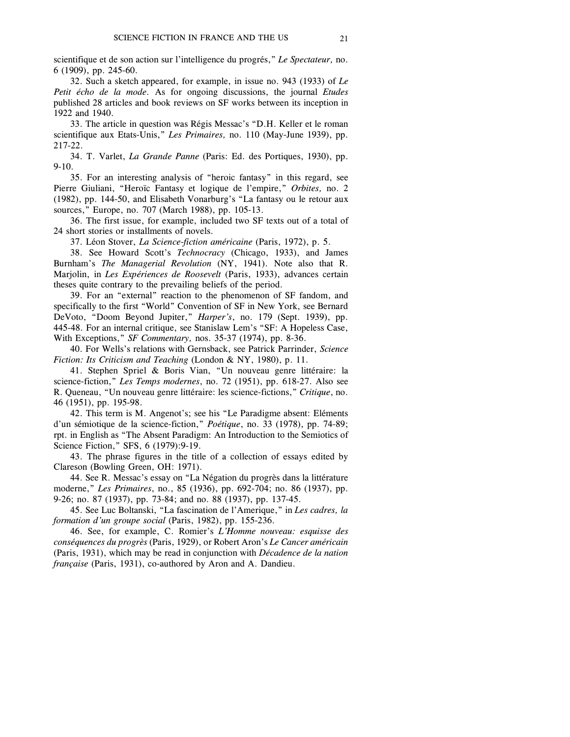scientifique et de son action sur l'intelligence du progrés," *Le Spectateur,* no. 6 (1909), pp. 245-60.

32. Such a sketch appeared, for example, in issue no. 943 (1933) of *Le Petit écho de la mode.* As for ongoing discussions, the journal *Etudes* published 28 articles and book reviews on SF works between its inception in 1922 and 1940.

33. The article in question was Régis Messac's "D.H. Keller et le roman scientifique aux Etats-Unis," *Les Primaires,* no. 110 (May-June 1939), pp. 217-22.

34. T. Varlet, *La Grande Panne* (Paris: Ed. des Portiques, 1930), pp. 9-10.

35. For an interesting analysis of "heroic fantasy" in this regard, see Pierre Giuliani, "Heroïc Fantasy et logique de l'empire," *Orbites,* no. 2 (1982), pp. 144-50, and Elisabeth Vonarburg's "La fantasy ou le retour aux sources," Europe, no. 707 (March 1988), pp. 105-13.

36. The first issue, for example, included two SF texts out of a total of 24 short stories or installments of novels.

37. Léon Stover, *La Science-fiction américaine* (Paris, 1972), p. 5.

38. See Howard Scott's *Technocracy* (Chicago, 1933), and James Burnham's *The Managerial Revolution* (NY, 1941). Note also that R. Marjolin, in *Les Expériences de Roosevelt* (Paris, 1933), advances certain theses quite contrary to the prevailing beliefs of the period.

39. For an "external" reaction to the phenomenon of SF fandom, and specifically to the first "World" Convention of SF in New York, see Bernard DeVoto, "Doom Beyond Jupiter," *Harper's*, no. 179 (Sept. 1939), pp. 445-48. For an internal critique, see Stanislaw Lem's "SF: A Hopeless Case, With Exceptions," *SF Commentary,* nos. 35-37 (1974), pp. 8-36.

40. For Wells's relations with Gernsback, see Patrick Parrinder, *Science Fiction: Its Criticism and Teaching* (London & NY, 1980), p. 11.

41. Stephen Spriel & Boris Vian, "Un nouveau genre littéraire: la science-fiction," *Les Temps modernes*, no. 72 (1951), pp. 618-27. Also see R. Queneau, "Un nouveau genre littéraire: les science-fictions," *Critique*, no. 46 (1951), pp. 195-98.

42. This term is M. Angenot's; see his "Le Paradigme absent: Eléments d'un sémiotique de la science-fiction," *Poétique*, no. 33 (1978), pp. 74-89; rpt. in English as "The Absent Paradigm: An Introduction to the Semiotics of Science Fiction," SFS, 6 (1979):9-19.

43. The phrase figures in the title of a collection of essays edited by Clareson (Bowling Green, OH: 1971).

44. See R. Messac's essay on "La Négation du progrès dans la littérature moderne," *Les Primaires*, no., 85 (1936), pp. 692-704; no. 86 (1937), pp. 9-26; no. 87 (1937), pp. 73-84; and no. 88 (1937), pp. 137-45.

45. See Luc Boltanski, "La fascination de l'Amerique," in *Les cadres, la formation d'un groupe social* (Paris, 1982), pp. 155-236.

46. See, for example, C. Romier's *L'Homme nouveau: esquisse des conséquences du progrès* (Paris, 1929), or Robert Aron's *Le Cancer américain* (Paris, 1931), which may be read in conjunction with *Décadence de la nation française* (Paris, 1931), co-authored by Aron and A. Dandieu.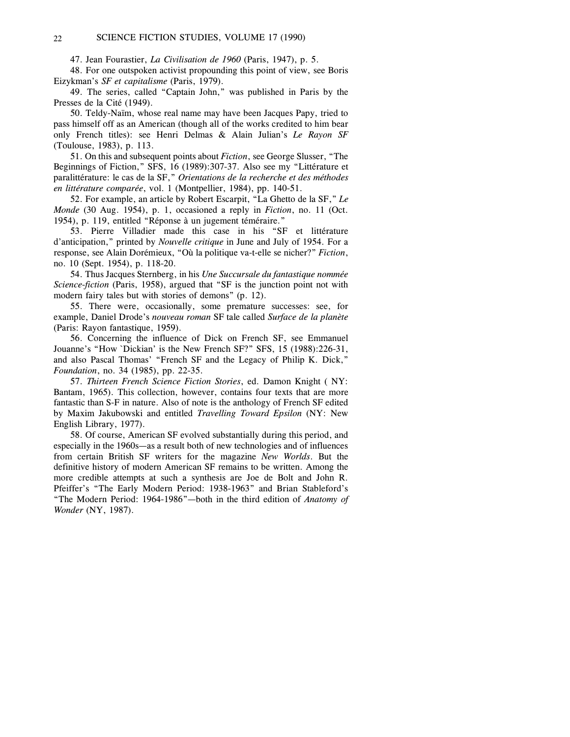47. Jean Fourastier, *La Civilisation de 1960* (Paris, 1947), p. 5.

48. For one outspoken activist propounding this point of view, see Boris Eizykman's *SF et capitalisme* (Paris, 1979).

49. The series, called "Captain John," was published in Paris by the Presses de la Cité (1949).

50. Teldy-Naïm, whose real name may have been Jacques Papy, tried to pass himself off as an American (though all of the works credited to him bear only French titles): see Henri Delmas & Alain Julian's *Le Rayon SF* (Toulouse, 1983), p. 113.

51. On this and subsequent points about *Fiction*, see George Slusser, "The Beginnings of Fiction," SFS, 16 (1989):307-37. Also see my "Littérature et paralittérature: le cas de la SF," *Orientations de la recherche et des méthodes en littérature comparée*, vol. 1 (Montpellier, 1984), pp. 140-51.

52. For example, an article by Robert Escarpit, "La Ghetto de la SF," *Le Monde* (30 Aug. 1954), p. 1, occasioned a reply in *Fiction*, no. 11 (Oct. 1954), p. 119, entitled "Réponse à un jugement téméraire."

53. Pierre Villadier made this case in his "SF et littérature d'anticipation," printed by *Nouvelle critique* in June and July of 1954. For a response, see Alain Dorémieux, "Où la politique va-t-elle se nicher?" *Fiction*, no. 10 (Sept. 1954), p. 118-20.

54. Thus Jacques Sternberg, in his *Une Succursale du fantastique nommée Science-fiction* (Paris, 1958), argued that "SF is the junction point not with modern fairy tales but with stories of demons" (p. 12).

55. There were, occasionally, some premature successes: see, for example, Daniel Drode's *nouveau roman* SF tale called *Surface de la planète* (Paris: Rayon fantastique, 1959).

56. Concerning the influence of Dick on French SF, see Emmanuel Jouanne's "How `Dickian' is the New French SF?" SFS, 15 (1988):226-31, and also Pascal Thomas' "French SF and the Legacy of Philip K. Dick," *Foundation*, no. 34 (1985), pp. 22-35.

57. *Thirteen French Science Fiction Stories*, ed. Damon Knight ( NY: Bantam, 1965). This collection, however, contains four texts that are more fantastic than S-F in nature. Also of note is the anthology of French SF edited by Maxim Jakubowski and entitled *Travelling Toward Epsilon* (NY: New English Library, 1977).

58. Of course, American SF evolved substantially during this period, and especially in the 1960s—as a result both of new technologies and of influences from certain British SF writers for the magazine *New Worlds*. But the definitive history of modern American SF remains to be written. Among the more credible attempts at such a synthesis are Joe de Bolt and John R. Pfeiffer's "The Early Modern Period: 1938-1963" and Brian Stableford's "The Modern Period: 1964-1986"—both in the third edition of *Anatomy of Wonder* (NY, 1987).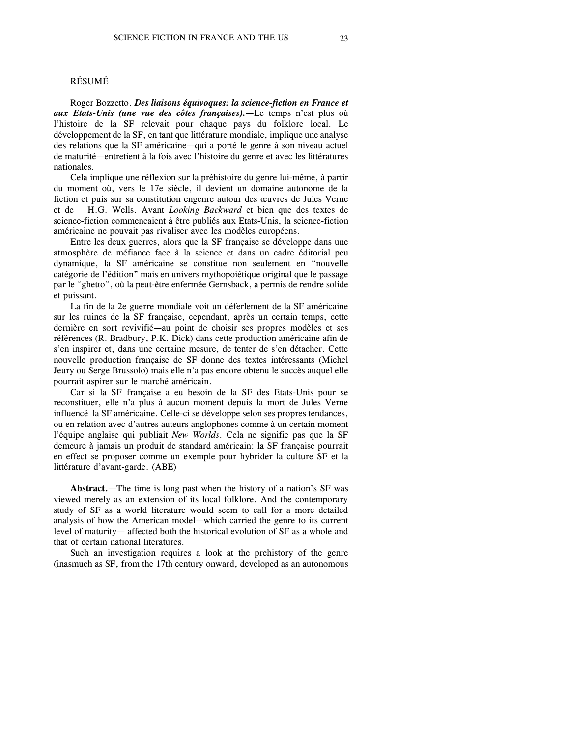#### RÉSUMÉ

Roger Bozzetto. *Des liaisons équivoques: la science-fiction en France et aux Etats-Unis (une vue des côtes françaises).*—Le temps n'est plus où l'histoire de la SF relevait pour chaque pays du folklore local. Le développement de la SF, en tant que littérature mondiale, implique une analyse des relations que la SF américaine—qui a porté le genre à son niveau actuel de maturité—entretient à la fois avec l'histoire du genre et avec les littératures nationales.

Cela implique une réflexion sur la préhistoire du genre lui-même, à partir du moment où, vers le 17e siècle, il devient un domaine autonome de la fiction et puis sur sa constitution engenre autour des œuvres de Jules Verne et de H.G. Wells. Avant *Looking Backward* et bien que des textes de science-fiction commencaient à être publiés aux Etats-Unis, la science-fiction américaine ne pouvait pas rivaliser avec les modèles européens.

Entre les deux guerres, alors que la SF française se développe dans une atmosphère de méfiance face à la science et dans un cadre éditorial peu dynamique, la SF américaine se constitue non seulement en "nouvelle catégorie de l'édition" mais en univers mythopoiétique original que le passage par le "ghetto", où la peut-être enfermée Gernsback, a permis de rendre solide et puissant.

La fin de la 2e guerre mondiale voit un déferlement de la SF américaine sur les ruines de la SF française, cependant, après un certain temps, cette dernière en sort revivifié—au point de choisir ses propres modèles et ses références (R. Bradbury, P.K. Dick) dans cette production américaine afin de s'en inspirer et, dans une certaine mesure, de tenter de s'en détacher. Cette nouvelle production française de SF donne des textes intéressants (Michel Jeury ou Serge Brussolo) mais elle n'a pas encore obtenu le succès auquel elle pourrait aspirer sur le marché américain.

Car si la SF française a eu besoin de la SF des Etats-Unis pour se reconstituer, elle n'a plus à aucun moment depuis la mort de Jules Verne influencé la SF américaine. Celle-ci se développe selon ses propres tendances, ou en relation avec d'autres auteurs anglophones comme à un certain moment l'équipe anglaise qui publiait *New Worlds*. Cela ne signifie pas que la SF demeure à jamais un produit de standard américain: la SF française pourrait en effect se proposer comme un exemple pour hybrider la culture SF et la littérature d'avant-garde. (ABE)

**Abstract.**—The time is long past when the history of a nation's SF was viewed merely as an extension of its local folklore. And the contemporary study of SF as a world literature would seem to call for a more detailed analysis of how the American model—which carried the genre to its current level of maturity— affected both the historical evolution of SF as a whole and that of certain national literatures.

Such an investigation requires a look at the prehistory of the genre (inasmuch as SF, from the 17th century onward, developed as an autonomous